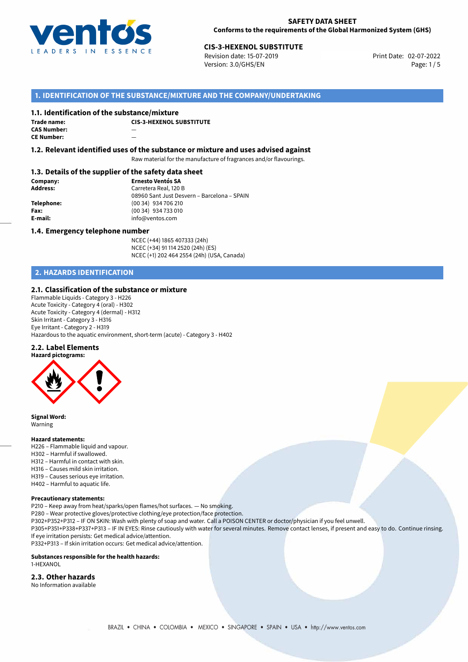

Revision date: 15-07-2019 Version: 3.0/GHS/EN Page: 1/5

# **1. IDENTIFICATION OF THE SUBSTANCE/MIXTURE AND THE COMPANY/UNDERTAKING**

#### **1.1. Identification of the substance/mixture**

| Trade name:        | СI |
|--------------------|----|
| <b>CAS Number:</b> |    |
| <b>CE Number:</b>  |    |

**CIS-3-HEXENOL SUBSTITUTE**

**1.2. Relevant identified uses of the substance or mixture and uses advised against**

Raw material for the manufacture of fragrances and/or flavourings.

#### **1.3. Details of the supplier of the safety data sheet**

**Company: Ernesto Ventós SA Address:** Carretera Real, 120 B 08960 Sant Just Desvern – Barcelona – SPAIN **Telephone:** (00 34) 934 706 210 **Fax:** (00 34) 934 733 010<br> **E-mail:** example the info@ventos.com **E-mail:** info@ventos.com

#### **1.4. Emergency telephone number**

NCEC (+44) 1865 407333 (24h) NCEC (+34) 91 114 2520 (24h) (ES) NCEC (+1) 202 464 2554 (24h) (USA, Canada)

# **2. HAZARDS IDENTIFICATION**

### **2.1. Classification of the substance or mixture**

Flammable Liquids - Category 3 - H226 Acute Toxicity - Category 4 (oral) - H302 Acute Toxicity - Category 4 (dermal) - H312 Skin Irritant - Category 3 - H316 Eye Irritant - Category 2 - H319 Hazardous to the aquatic environment, short-term (acute) - Category 3 - H402

#### **2.2. Label Elements**



**Signal Word:** Warning

#### **Hazard statements:**

- H226 Flammable liquid and vapour. H302 – Harmful if swallowed.
- H312 Harmful in contact with skin.
- H316 Causes mild skin irritation.
- H319 Causes serious eye irritation. H402 – Harmful to aquatic life.

# **Precautionary statements:**

P210 – Keep away from heat/sparks/open flames/hot surfaces. — No smoking. P280 – Wear protective gloves/protective clothing/eye protection/face protection.

P302+P352+P312 – IF ON SKIN: Wash with plenty of soap and water. Call a POISON CENTER or doctor/physician if you feel unwell. P305+P351+P338+P337+P313 – IF IN EYES: Rinse cautiously with water for several minutes. Remove contact lenses, if present and easy to do. Continue rinsing. If eye irritation persists: Get medical advice/attention.

P332+P313 – If skin irritation occurs: Get medical advice/attention.

#### **Substances responsible for the health hazards:**

1-HEXANOL

# **2.3. Other hazards**

No Information available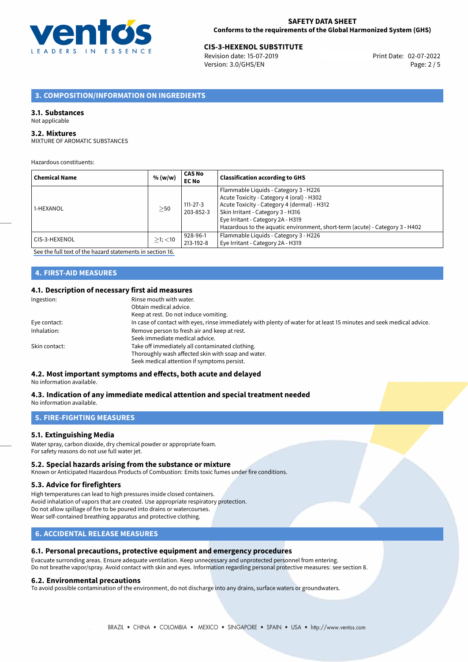

Revision date: 15-07-2019 Version: 3.0/GHS/EN Page: 2 / 5

# **3. COMPOSITION/INFORMATION ON INGREDIENTS**

#### **3.1. Substances**

#### Not applicable

# **3.2. Mixtures**

MIXTURE OF AROMATIC SUBSTANCES

Hazardous constituents:

| <b>Chemical Name</b> | % (w/w)       | <b>CAS No</b><br><b>EC No</b> | <b>Classification according to GHS</b>                                                                                                                                                                                                                                                      |
|----------------------|---------------|-------------------------------|---------------------------------------------------------------------------------------------------------------------------------------------------------------------------------------------------------------------------------------------------------------------------------------------|
| 1-HEXANOL            | $\geq$ 50     | $111 - 27 - 3$<br>203-852-3   | Flammable Liquids - Category 3 - H226<br>Acute Toxicity - Category 4 (oral) - H302<br>Acute Toxicity - Category 4 (dermal) - H312<br>Skin Irritant - Category 3 - H316<br>Eye Irritant - Category 2A - H319<br>Hazardous to the aquatic environment, short-term (acute) - Category 3 - H402 |
| l CIS-3-HEXENOL      | $>1$ ; $<$ 10 | 928-96-1<br>213-192-8         | Flammable Liquids - Category 3 - H226<br>Eye Irritant - Category 2A - H319                                                                                                                                                                                                                  |

[See the full text of the hazard statements in section 16.](#page-4-0)

# **4. FIRST-AID MEASURES**

#### **4.1. Description of necessary first aid measures**

| Ingestion:    | Rinse mouth with water.                                                                                               |
|---------------|-----------------------------------------------------------------------------------------------------------------------|
|               | Obtain medical advice.                                                                                                |
|               | Keep at rest. Do not induce vomiting.                                                                                 |
| Eye contact:  | In case of contact with eyes, rinse immediately with plenty of water for at least 15 minutes and seek medical advice. |
| Inhalation:   | Remove person to fresh air and keep at rest.                                                                          |
|               | Seek immediate medical advice.                                                                                        |
| Skin contact: | Take off immediately all contaminated clothing.                                                                       |
|               | Thoroughly wash affected skin with soap and water.                                                                    |
|               | Seek medical attention if symptoms persist.                                                                           |
|               |                                                                                                                       |

#### **4.2. Most important symptoms and effects, both acute and delayed** No information available.

#### **4.3. Indication of any immediate medical attention and special treatment needed** No information available.

# **5. FIRE-FIGHTING MEASURES**

#### **5.1. Extinguishing Media**

Water spray, carbon dioxide, dry chemical powder or appropriate foam. For safety reasons do not use full water jet.

#### **5.2. Special hazards arising from the substance or mixture**

Known or Anticipated Hazardous Products of Combustion: Emits toxic fumes under fire conditions.

#### **5.3. Advice for firefighters**

High temperatures can lead to high pressures inside closed containers. Avoid inhalation of vapors that are created. Use appropriate respiratory protection. Do not allow spillage of fire to be poured into drains or watercourses. Wear self-contained breathing apparatus and protective clothing.

# **6. ACCIDENTAL RELEASE MEASURES**

#### **6.1. Personal precautions, protective equipment and emergency procedures**

Evacuate surronding areas. Ensure adequate ventilation. Keep unnecessary and unprotected personnel from entering. Do not breathe vapor/spray. Avoid contact with skin and eyes. Information regarding personal protective measures: see section 8.

#### **6.2. Environmental precautions**

To avoid possible contamination of the environment, do not discharge into any drains, surface waters or groundwaters.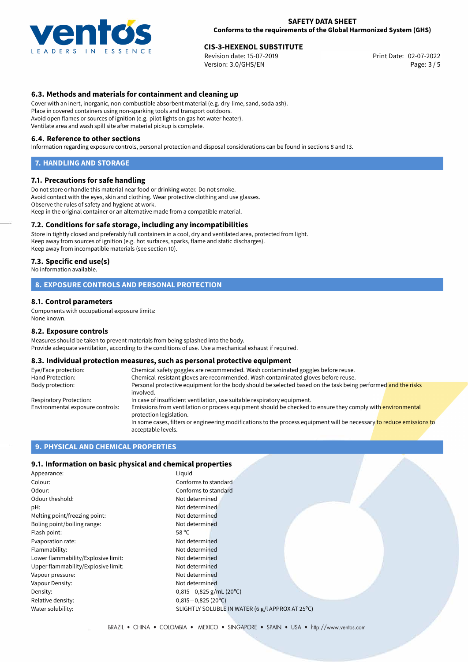

Revision date: 15-07-2019 Version: 3.0/GHS/EN Page: 3 / 5

# **6.3. Methods and materials for containment and cleaning up**

Cover with an inert, inorganic, non-combustible absorbent material (e.g. dry-lime, sand, soda ash). Place in covered containers using non-sparking tools and transport outdoors. Avoid open flames or sources of ignition (e.g. pilot lights on gas hot water heater). Ventilate area and wash spill site after material pickup is complete.

#### **6.4. Reference to other sections**

Information regarding exposure controls, personal protection and disposal considerations can be found in sections 8 and 13.

#### **7. HANDLING AND STORAGE**

#### **7.1. Precautions for safe handling**

Do not store or handle this material near food or drinking water. Do not smoke. Avoid contact with the eyes, skin and clothing. Wear protective clothing and use glasses. Observe the rules of safety and hygiene at work. Keep in the original container or an alternative made from a compatible material.

#### **7.2. Conditions for safe storage, including any incompatibilities**

Store in tightly closed and preferably full containers in a cool, dry and ventilated area, protected from light. Keep away from sources of ignition (e.g. hot surfaces, sparks, flame and static discharges). Keep away from incompatible materials (see section 10).

#### **7.3. Specific end use(s)**

No information available.

#### **8. EXPOSURE CONTROLS AND PERSONAL PROTECTION**

#### **8.1. Control parameters**

Components with occupational exposure limits: None known.

#### **8.2. Exposure controls**

Measures should be taken to prevent materials from being splashed into the body. Provide adequate ventilation, according to the conditions of use. Use a mechanical exhaust if required.

# **8.3. Individual protection measures, such as personal protective equipment**

| Eye/Face protection:             | Chemical safety goggles are recommended. Wash contaminated goggles before reuse.                                                            |  |  |
|----------------------------------|---------------------------------------------------------------------------------------------------------------------------------------------|--|--|
| Hand Protection:                 | Chemical-resistant gloves are recommended. Wash contaminated gloves before reuse.                                                           |  |  |
| Body protection:                 | Personal protective equipment for the body should be selected based on the task being performed and the risks<br>involved.                  |  |  |
| Respiratory Protection:          | In case of insufficient ventilation, use suitable respiratory equipment.                                                                    |  |  |
| Environmental exposure controls: | Emissions from ventilation or process equipment should be checked to ensure they comply with environmental<br>protection legislation.       |  |  |
|                                  | In some cases, filters or engineering modifications to the process equipment will be necessary to reduce emissions to<br>acceptable levels. |  |  |

## **9. PHYSICAL AND CHEMICAL PROPERTIES**

### **9.1. Information on basic physical and chemical properties**

| Appearance:                         | Liquid                                           |
|-------------------------------------|--------------------------------------------------|
| Colour:                             | Conforms to standard                             |
| Odour:                              | Conforms to standard                             |
| Odour theshold:                     | Not determined                                   |
| pH:                                 | Not determined                                   |
| Melting point/freezing point:       | Not determined                                   |
| Boling point/boiling range:         | Not determined                                   |
| Flash point:                        | 58 °C                                            |
| Evaporation rate:                   | Not determined                                   |
| Flammability:                       | Not determined                                   |
| Lower flammability/Explosive limit: | Not determined                                   |
| Upper flammability/Explosive limit: | Not determined                                   |
| Vapour pressure:                    | Not determined                                   |
| Vapour Density:                     | Not determined                                   |
| Density:                            | $0,815-0,825$ g/mL (20 <sup>o</sup> C)           |
| Relative density:                   | $0,815 - 0,825$ (20°C)                           |
| Water solubility:                   | SLIGHTLY SOLUBLE IN WATER (6 g/l APPROX AT 25°C) |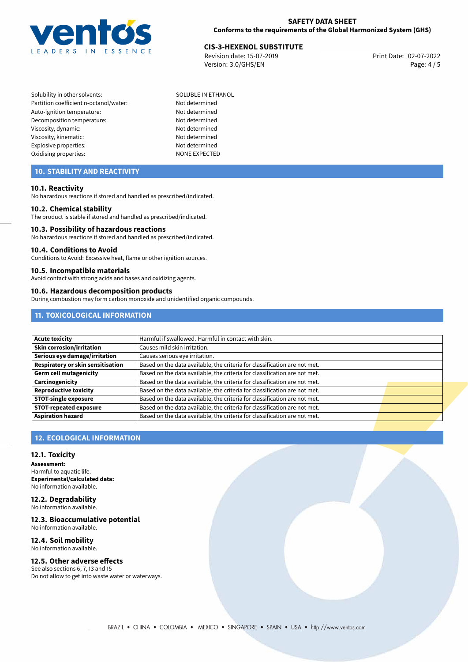

Revision date: 15-07-2019 Version: 3.0/GHS/EN Page: 4 / 5

Solubility in other solvents: SOLUBLE IN ETHANOL Partition coefficient n-octanol/water: Not determined Auto-ignition temperature: Not determined Decomposition temperature: Not determined Viscosity, dynamic: Not determined Viscosity, kinematic: Not determined Explosive properties: Not determined Oxidising properties: NONE EXPECTED

# **10. STABILITY AND REACTIVITY**

#### **10.1. Reactivity**

No hazardous reactions if stored and handled as prescribed/indicated.

#### **10.2. Chemical stability**

The product is stable if stored and handled as prescribed/indicated.

#### **10.3. Possibility of hazardous reactions**

No hazardous reactions if stored and handled as prescribed/indicated.

#### **10.4. Conditions to Avoid**

Conditions to Avoid: Excessive heat, flame or other ignition sources.

#### **10.5. Incompatible materials**

Avoid contact with strong acids and bases and oxidizing agents.

#### **10.6. Hazardous decomposition products**

During combustion may form carbon monoxide and unidentified organic compounds.

# **11. TOXICOLOGICAL INFORMATION**

| <b>Acute toxicity</b>                    | Harmful if swallowed. Harmful in contact with skin.                       |  |
|------------------------------------------|---------------------------------------------------------------------------|--|
| Skin corrosion/irritation                | Causes mild skin irritation.                                              |  |
| Serious eye damage/irritation            | Causes serious eye irritation.                                            |  |
| <b>Respiratory or skin sensitisation</b> | Based on the data available, the criteria for classification are not met. |  |
| <b>Germ cell mutagenicity</b>            | Based on the data available, the criteria for classification are not met. |  |
| Carcinogenicity                          | Based on the data available, the criteria for classification are not met. |  |
| <b>Reproductive toxicity</b>             | Based on the data available, the criteria for classification are not met. |  |
| <b>STOT-single exposure</b>              | Based on the data available, the criteria for classification are not met. |  |
| <b>STOT-repeated exposure</b>            | Based on the data available, the criteria for classification are not met. |  |
| <b>Aspiration hazard</b>                 | Based on the data available, the criteria for classification are not met. |  |

# **12. ECOLOGICAL INFORMATION**

#### **12.1. Toxicity**

**Assessment:** Harmful to aquatic life. **Experimental/calculated data:** No information available.

**12.2. Degradability** No information available.

#### **12.3. Bioaccumulative potential**

No information available.

#### **12.4. Soil mobility** No information available.

**12.5. Other adverse effects**

See also sections 6, 7, 13 and 15 Do not allow to get into waste water or waterways.